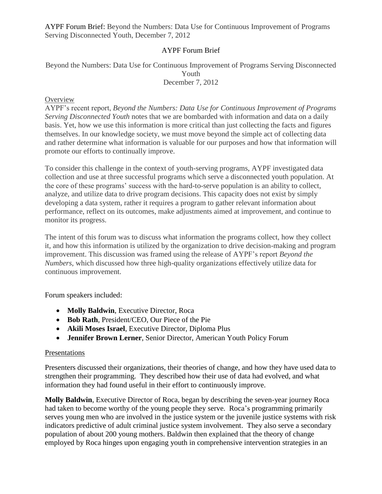# AYPF Forum Brief

Beyond the Numbers: Data Use for Continuous Improvement of Programs Serving Disconnected Youth December 7, 2012

### **Overview**

AYPF's recent report, *Beyond the Numbers: Data Use for Continuous Improvement of Programs Serving Disconnected Youth* notes that we are bombarded with information and data on a daily basis. Yet, how we use this information is more critical than just collecting the facts and figures themselves. In our knowledge society, we must move beyond the simple act of collecting data and rather determine what information is valuable for our purposes and how that information will promote our efforts to continually improve.

To consider this challenge in the context of youth-serving programs, AYPF investigated data collection and use at three successful programs which serve a disconnected youth population. At the core of these programs' success with the hard-to-serve population is an ability to collect, analyze, and utilize data to drive program decisions. This capacity does not exist by simply developing a data system, rather it requires a program to gather relevant information about performance, reflect on its outcomes, make adjustments aimed at improvement, and continue to monitor its progress.

The intent of this forum was to discuss what information the programs collect, how they collect it, and how this information is utilized by the organization to drive decision-making and program improvement. This discussion was framed using the release of AYPF's report *Beyond the Numbers*, which discussed how three high-quality organizations effectively utilize data for continuous improvement.

Forum speakers included:

- **Molly Baldwin**, Executive Director, Roca
- **Bob Rath**, President/CEO, Our Piece of the Pie
- **Akili Moses Israel**, Executive Director, Diploma Plus
- **Jennifer Brown Lerner**, Senior Director, American Youth Policy Forum

#### Presentations

Presenters discussed their organizations, their theories of change, and how they have used data to strengthen their programming. They described how their use of data had evolved, and what information they had found useful in their effort to continuously improve.

**Molly Baldwin**, Executive Director of Roca, began by describing the seven-year journey Roca had taken to become worthy of the young people they serve. Roca's programming primarily serves young men who are involved in the justice system or the juvenile justice systems with risk indicators predictive of adult criminal justice system involvement. They also serve a secondary population of about 200 young mothers. Baldwin then explained that the theory of change employed by Roca hinges upon engaging youth in comprehensive intervention strategies in an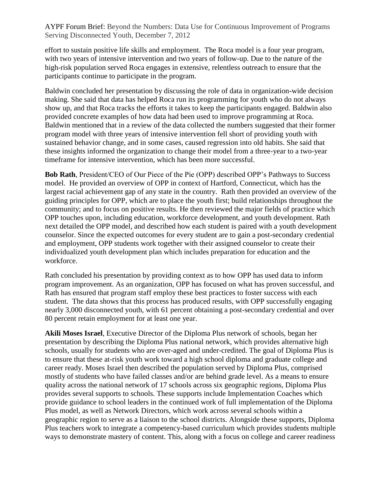effort to sustain positive life skills and employment. The Roca model is a four year program, with two years of intensive intervention and two years of follow-up. Due to the nature of the high-risk population served Roca engages in extensive, relentless outreach to ensure that the participants continue to participate in the program.

Baldwin concluded her presentation by discussing the role of data in organization-wide decision making. She said that data has helped Roca run its programming for youth who do not always show up, and that Roca tracks the efforts it takes to keep the participants engaged. Baldwin also provided concrete examples of how data had been used to improve programming at Roca. Baldwin mentioned that in a review of the data collected the numbers suggested that their former program model with three years of intensive intervention fell short of providing youth with sustained behavior change, and in some cases, caused regression into old habits. She said that these insights informed the organization to change their model from a three-year to a two-year timeframe for intensive intervention, which has been more successful.

**Bob Rath**, President/CEO of Our Piece of the Pie (OPP) described OPP's Pathways to Success model. He provided an overview of OPP in context of Hartford, Connecticut, which has the largest racial achievement gap of any state in the country. Rath then provided an overview of the guiding principles for OPP, which are to place the youth first; build relationships throughout the community; and to focus on positive results. He then reviewed the major fields of practice which OPP touches upon, including education, workforce development, and youth development. Rath next detailed the OPP model, and described how each student is paired with a youth development counselor. Since the expected outcomes for every student are to gain a post-secondary credential and employment, OPP students work together with their assigned counselor to create their individualized youth development plan which includes preparation for education and the workforce.

Rath concluded his presentation by providing context as to how OPP has used data to inform program improvement. As an organization, OPP has focused on what has proven successful, and Rath has ensured that program staff employ these best practices to foster success with each student. The data shows that this process has produced results, with OPP successfully engaging nearly 3,000 disconnected youth, with 61 percent obtaining a post-secondary credential and over 80 percent retain employment for at least one year.

**Akili Moses Israel**, Executive Director of the Diploma Plus network of schools, began her presentation by describing the Diploma Plus national network, which provides alternative high schools, usually for students who are over-aged and under-credited. The goal of Diploma Plus is to ensure that these at-risk youth work toward a high school diploma and graduate college and career ready. Moses Israel then described the population served by Diploma Plus, comprised mostly of students who have failed classes and/or are behind grade level. As a means to ensure quality across the national network of 17 schools across six geographic regions, Diploma Plus provides several supports to schools. These supports include Implementation Coaches which provide guidance to school leaders in the continued work of full implementation of the Diploma Plus model, as well as Network Directors, which work across several schools within a geographic region to serve as a liaison to the school districts. Alongside these supports, Diploma Plus teachers work to integrate a competency-based curriculum which provides students multiple ways to demonstrate mastery of content. This, along with a focus on college and career readiness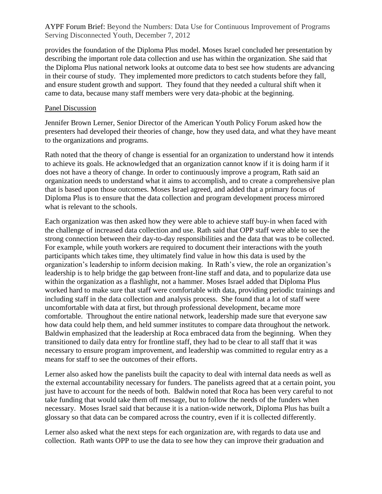provides the foundation of the Diploma Plus model. Moses Israel concluded her presentation by describing the important role data collection and use has within the organization. She said that the Diploma Plus national network looks at outcome data to best see how students are advancing in their course of study. They implemented more predictors to catch students before they fall, and ensure student growth and support. They found that they needed a cultural shift when it came to data, because many staff members were very data-phobic at the beginning.

## Panel Discussion

Jennifer Brown Lerner, Senior Director of the American Youth Policy Forum asked how the presenters had developed their theories of change, how they used data, and what they have meant to the organizations and programs.

Rath noted that the theory of change is essential for an organization to understand how it intends to achieve its goals. He acknowledged that an organization cannot know if it is doing harm if it does not have a theory of change. In order to continuously improve a program, Rath said an organization needs to understand what it aims to accomplish, and to create a comprehensive plan that is based upon those outcomes. Moses Israel agreed, and added that a primary focus of Diploma Plus is to ensure that the data collection and program development process mirrored what is relevant to the schools.

Each organization was then asked how they were able to achieve staff buy-in when faced with the challenge of increased data collection and use. Rath said that OPP staff were able to see the strong connection between their day-to-day responsibilities and the data that was to be collected. For example, while youth workers are required to document their interactions with the youth participants which takes time, they ultimately find value in how this data is used by the organization's leadership to inform decision making. In Rath's view, the role an organization's leadership is to help bridge the gap between front-line staff and data, and to popularize data use within the organization as a flashlight, not a hammer. Moses Israel added that Diploma Plus worked hard to make sure that staff were comfortable with data, providing periodic trainings and including staff in the data collection and analysis process. She found that a lot of staff were uncomfortable with data at first, but through professional development, became more comfortable. Throughout the entire national network, leadership made sure that everyone saw how data could help them, and held summer institutes to compare data throughout the network. Baldwin emphasized that the leadership at Roca embraced data from the beginning. When they transitioned to daily data entry for frontline staff, they had to be clear to all staff that it was necessary to ensure program improvement, and leadership was committed to regular entry as a means for staff to see the outcomes of their efforts.

Lerner also asked how the panelists built the capacity to deal with internal data needs as well as the external accountability necessary for funders. The panelists agreed that at a certain point, you just have to account for the needs of both. Baldwin noted that Roca has been very careful to not take funding that would take them off message, but to follow the needs of the funders when necessary. Moses Israel said that because it is a nation-wide network, Diploma Plus has built a glossary so that data can be compared across the country, even if it is collected differently.

Lerner also asked what the next steps for each organization are, with regards to data use and collection. Rath wants OPP to use the data to see how they can improve their graduation and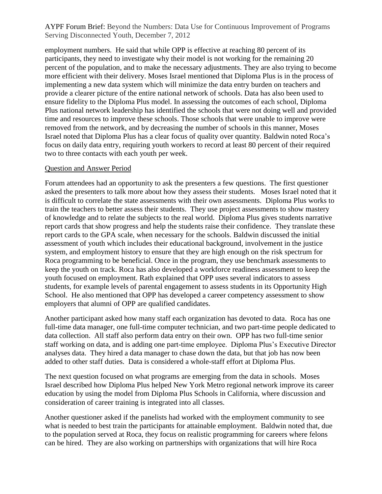employment numbers. He said that while OPP is effective at reaching 80 percent of its participants, they need to investigate why their model is not working for the remaining 20 percent of the population, and to make the necessary adjustments. They are also trying to become more efficient with their delivery. Moses Israel mentioned that Diploma Plus is in the process of implementing a new data system which will minimize the data entry burden on teachers and provide a clearer picture of the entire national network of schools. Data has also been used to ensure fidelity to the Diploma Plus model. In assessing the outcomes of each school, Diploma Plus national network leadership has identified the schools that were not doing well and provided time and resources to improve these schools. Those schools that were unable to improve were removed from the network, and by decreasing the number of schools in this manner, Moses Israel noted that Diploma Plus has a clear focus of quality over quantity. Baldwin noted Roca's focus on daily data entry, requiring youth workers to record at least 80 percent of their required two to three contacts with each youth per week.

#### Question and Answer Period

Forum attendees had an opportunity to ask the presenters a few questions. The first questioner asked the presenters to talk more about how they assess their students. Moses Israel noted that it is difficult to correlate the state assessments with their own assessments. Diploma Plus works to train the teachers to better assess their students. They use project assessments to show mastery of knowledge and to relate the subjects to the real world. Diploma Plus gives students narrative report cards that show progress and help the students raise their confidence. They translate these report cards to the GPA scale, when necessary for the schools. Baldwin discussed the initial assessment of youth which includes their educational background, involvement in the justice system, and employment history to ensure that they are high enough on the risk spectrum for Roca programming to be beneficial. Once in the program, they use benchmark assessments to keep the youth on track. Roca has also developed a workforce readiness assessment to keep the youth focused on employment. Rath explained that OPP uses several indicators to assess students, for example levels of parental engagement to assess students in its Opportunity High School. He also mentioned that OPP has developed a career competency assessment to show employers that alumni of OPP are qualified candidates.

Another participant asked how many staff each organization has devoted to data. Roca has one full-time data manager, one full-time computer technician, and two part-time people dedicated to data collection. All staff also perform data entry on their own. OPP has two full-time senior staff working on data, and is adding one part-time employee. Diploma Plus's Executive Director analyses data. They hired a data manager to chase down the data, but that job has now been added to other staff duties. Data is considered a whole-staff effort at Diploma Plus.

The next question focused on what programs are emerging from the data in schools. Moses Israel described how Diploma Plus helped New York Metro regional network improve its career education by using the model from Diploma Plus Schools in California, where discussion and consideration of career training is integrated into all classes.

Another questioner asked if the panelists had worked with the employment community to see what is needed to best train the participants for attainable employment. Baldwin noted that, due to the population served at Roca, they focus on realistic programming for careers where felons can be hired. They are also working on partnerships with organizations that will hire Roca